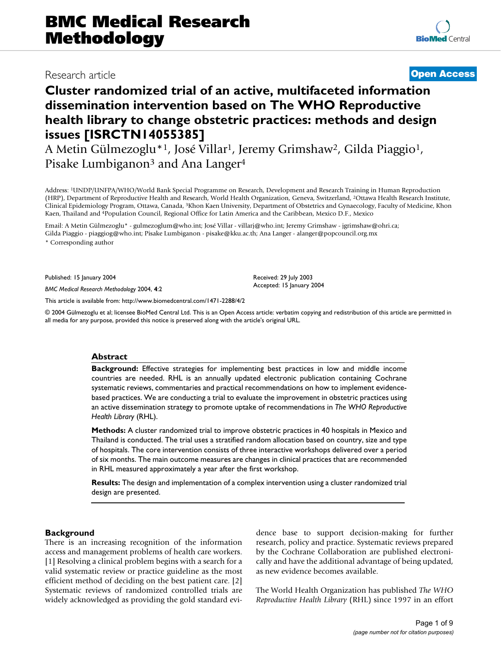# Research article **[Open Access](http://www.biomedcentral.com/info/about/charter/)**

# **Cluster randomized trial of an active, multifaceted information dissemination intervention based on The WHO Reproductive health library to change obstetric practices: methods and design issues [ISRCTN14055385]**

A Metin Gülmezoglu\*1, José Villar1, Jeremy Grimshaw2, Gilda Piaggio1, Pisake Lumbiganon<sup>3</sup> and Ana Langer<sup>4</sup>

Address: 1UNDP/UNFPA/WHO/World Bank Special Programme on Research, Development and Research Training in Human Reproduction (HRP), Department of Reproductive Health and Research, World Health Organization, Geneva, Switzerland, 2Ottawa Health Research Institute, Clinical Epidemiology Program, Ottawa, Canada, 3Khon Kaen University, Department of Obstetrics and Gynaecology, Faculty of Medicine, Khon Kaen, Thailand and 4Population Council, Regional Office for Latin America and the Caribbean, Mexico D.F., Mexico

Email: A Metin Gülmezoglu\* - gulmezoglum@who.int; José Villar - villarj@who.int; Jeremy Grimshaw - jgrimshaw@ohri.ca; Gilda Piaggio - piaggiog@who.int; Pisake Lumbiganon - pisake@kku.ac.th; Ana Langer - alanger@popcouncil.org.mx \* Corresponding author

Published: 15 January 2004

*BMC Medical Research Methodology* 2004, **4**:2

[This article is available from: http://www.biomedcentral.com/1471-2288/4/2](http://www.biomedcentral.com/1471-2288/4/2)

© 2004 Gülmezoglu et al; licensee BioMed Central Ltd. This is an Open Access article: verbatim copying and redistribution of this article are permitted in all media for any purpose, provided this notice is preserved along with the article's original URL.

Received: 29 July 2003 Accepted: 15 January 2004

#### **Abstract**

**Background:** Effective strategies for implementing best practices in low and middle income countries are needed. RHL is an annually updated electronic publication containing Cochrane systematic reviews, commentaries and practical recommendations on how to implement evidencebased practices. We are conducting a trial to evaluate the improvement in obstetric practices using an active dissemination strategy to promote uptake of recommendations in *The WHO Reproductive Health Library* (RHL).

**Methods:** A cluster randomized trial to improve obstetric practices in 40 hospitals in Mexico and Thailand is conducted. The trial uses a stratified random allocation based on country, size and type of hospitals. The core intervention consists of three interactive workshops delivered over a period of six months. The main outcome measures are changes in clinical practices that are recommended in RHL measured approximately a year after the first workshop.

**Results:** The design and implementation of a complex intervention using a cluster randomized trial design are presented.

#### **Background**

There is an increasing recognition of the information access and management problems of health care workers. [1] Resolving a clinical problem begins with a search for a valid systematic review or practice guideline as the most efficient method of deciding on the best patient care. [2] Systematic reviews of randomized controlled trials are widely acknowledged as providing the gold standard evidence base to support decision-making for further research, policy and practice. Systematic reviews prepared by the Cochrane Collaboration are published electronically and have the additional advantage of being updated, as new evidence becomes available.

The World Health Organization has published *The WHO Reproductive Health Library* (RHL) since 1997 in an effort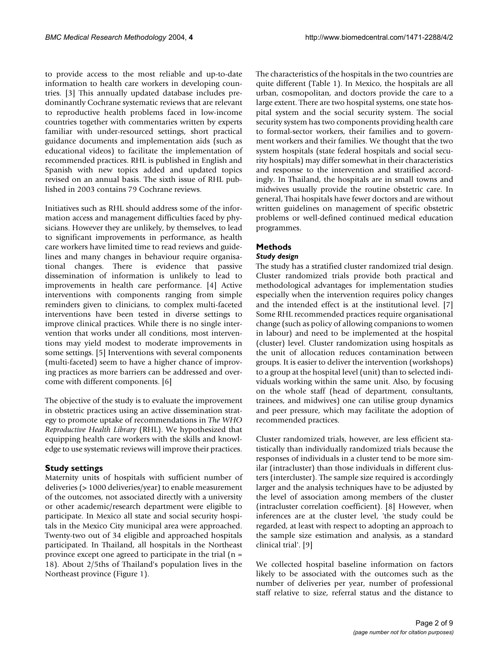to provide access to the most reliable and up-to-date information to health care workers in developing countries. [3] This annually updated database includes predominantly Cochrane systematic reviews that are relevant to reproductive health problems faced in low-income countries together with commentaries written by experts familiar with under-resourced settings, short practical guidance documents and implementation aids (such as educational videos) to facilitate the implementation of recommended practices. RHL is published in English and Spanish with new topics added and updated topics revised on an annual basis. The sixth issue of RHL published in 2003 contains 79 Cochrane reviews.

Initiatives such as RHL should address some of the information access and management difficulties faced by physicians. However they are unlikely, by themselves, to lead to significant improvements in performance, as health care workers have limited time to read reviews and guidelines and many changes in behaviour require organisational changes. There is evidence that passive dissemination of information is unlikely to lead to improvements in health care performance. [4] Active interventions with components ranging from simple reminders given to clinicians, to complex multi-faceted interventions have been tested in diverse settings to improve clinical practices. While there is no single intervention that works under all conditions, most interventions may yield modest to moderate improvements in some settings. [5] Interventions with several components (multi-faceted) seem to have a higher chance of improving practices as more barriers can be addressed and overcome with different components. [6]

The objective of the study is to evaluate the improvement in obstetric practices using an active dissemination strategy to promote uptake of recommendations in *The WHO Reproductive Health Library* (RHL). We hypothesized that equipping health care workers with the skills and knowledge to use systematic reviews will improve their practices.

# **Study settings**

Maternity units of hospitals with sufficient number of deliveries (> 1000 deliveries/year) to enable measurement of the outcomes, not associated directly with a university or other academic/research department were eligible to participate. In Mexico all state and social security hospitals in the Mexico City municipal area were approached. Twenty-two out of 34 eligible and approached hospitals participated. In Thailand, all hospitals in the Northeast province except one agreed to participate in the trial (n = 18). About 2/5ths of Thailand's population lives in the Northeast province (Figure [1](#page-2-0)).

The characteristics of the hospitals in the two countries are quite different (Table [1](#page-3-0)). In Mexico, the hospitals are all urban, cosmopolitan, and doctors provide the care to a large extent. There are two hospital systems, one state hospital system and the social security system. The social security system has two components providing health care to formal-sector workers, their families and to government workers and their families. We thought that the two system hospitals (state federal hospitals and social security hospitals) may differ somewhat in their characteristics and response to the intervention and stratified accordingly. In Thailand, the hospitals are in small towns and midwives usually provide the routine obstetric care. In general, Thai hospitals have fewer doctors and are without written guidelines on management of specific obstetric problems or well-defined continued medical education programmes.

# **Methods**

# *Study design*

The study has a stratified cluster randomized trial design. Cluster randomized trials provide both practical and methodological advantages for implementation studies especially when the intervention requires policy changes and the intended effect is at the institutional level. [7] Some RHL recommended practices require organisational change (such as policy of allowing companions to women in labour) and need to be implemented at the hospital (cluster) level. Cluster randomization using hospitals as the unit of allocation reduces contamination between groups. It is easier to deliver the intervention (workshops) to a group at the hospital level (unit) than to selected individuals working within the same unit. Also, by focusing on the whole staff (head of department, consultants, trainees, and midwives) one can utilise group dynamics and peer pressure, which may facilitate the adoption of recommended practices.

Cluster randomized trials, however, are less efficient statistically than individually randomized trials because the responses of individuals in a cluster tend to be more similar (intracluster) than those individuals in different clusters (intercluster). The sample size required is accordingly larger and the analysis techniques have to be adjusted by the level of association among members of the cluster (intracluster correlation coefficient). [8] However, when inferences are at the cluster level, 'the study could be regarded, at least with respect to adopting an approach to the sample size estimation and analysis, as a standard clinical trial'. [9]

We collected hospital baseline information on factors likely to be associated with the outcomes such as the number of deliveries per year, number of professional staff relative to size, referral status and the distance to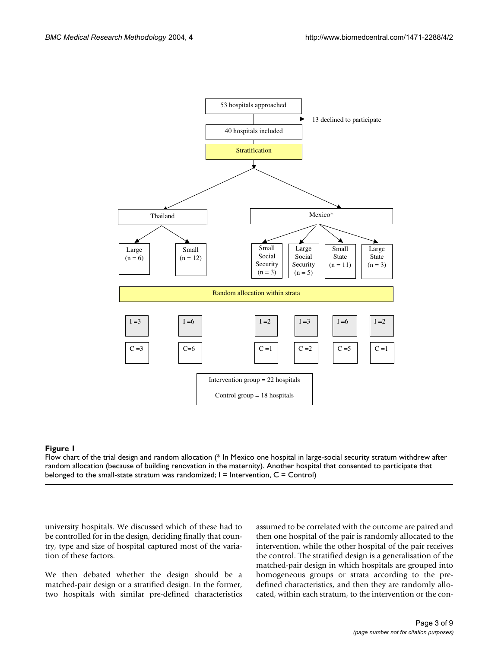<span id="page-2-0"></span>

# Flow chart of the trial design and random random allocation (because of bui **Figure 1** lding renovation in the maternity) allocation (\* In Mexico one hospital in large-social security stratum withdrew after

Flow chart of the trial design and random allocation (\* In Mexico one hospital in large-social security stratum withdrew after random allocation (because of building renovation in the maternity). Another hospital that consented to participate that belonged to the small-state stratum was randomized;  $I =$  Intervention,  $C =$  Control)

university hospitals. We discussed which of these had to be controlled for in the design, deciding finally that country, type and size of hospital captured most of the variation of these factors.

We then debated whether the design should be a matched-pair design or a stratified design. In the former, two hospitals with similar pre-defined characteristics assumed to be correlated with the outcome are paired and then one hospital of the pair is randomly allocated to the intervention, while the other hospital of the pair receives the control. The stratified design is a generalisation of the matched-pair design in which hospitals are grouped into homogeneous groups or strata according to the predefined characteristics, and then they are randomly allocated, within each stratum, to the intervention or the con-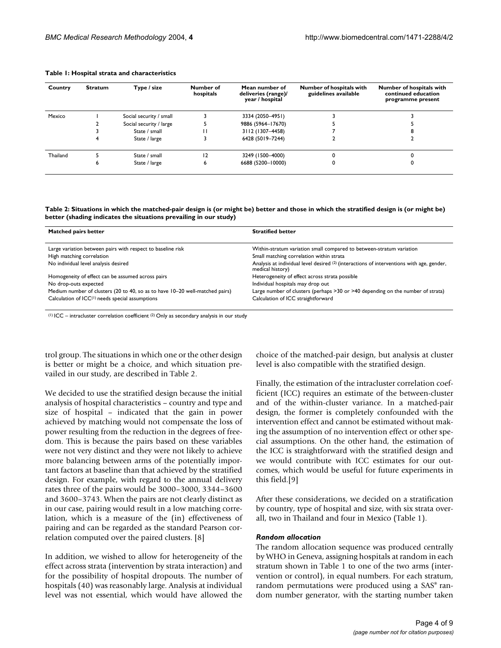| Country  | <b>Stratum</b> | Type / size             | Number of<br>hospitals | Mean number of<br>deliveries (range)/<br>year / hospital | Number of hospitals with<br>guidelines available | Number of hospitals with<br>continued education<br>programme present |
|----------|----------------|-------------------------|------------------------|----------------------------------------------------------|--------------------------------------------------|----------------------------------------------------------------------|
| Mexico   |                | Social security / small |                        | 3334 (2050-4951)                                         |                                                  |                                                                      |
|          |                | Social security / large |                        | 9886 (5964-17670)                                        |                                                  |                                                                      |
|          |                | State / small           | п                      | 3112 (1307-4458)                                         |                                                  |                                                                      |
|          |                | State / large           |                        | 6428 (5019-7244)                                         |                                                  |                                                                      |
| Thailand |                | State / small           | 12                     | 3249 (1500-4000)                                         |                                                  |                                                                      |
|          | 6              | State / large           | 6                      | 6688 (5200-10000)                                        |                                                  |                                                                      |

#### <span id="page-3-0"></span>**Table 1: Hospital strata and characteristics**

<span id="page-3-1"></span>**Table 2: Situations in which the matched-pair design is (or might be) better and those in which the stratified design is (or might be) better (shading indicates the situations prevailing in our study)**

| <b>Matched pairs better</b>                                                  | <b>Stratified better</b>                                                                                                 |  |  |
|------------------------------------------------------------------------------|--------------------------------------------------------------------------------------------------------------------------|--|--|
|                                                                              |                                                                                                                          |  |  |
| Large variation between pairs with respect to baseline risk                  | Within-stratum variation small compared to between-stratum variation                                                     |  |  |
| High matching correlation                                                    | Small matching correlation within strata                                                                                 |  |  |
| No individual level analysis desired                                         | Analysis at individual level desired <sup>(2)</sup> (interactions of interventions with age, gender,<br>medical history) |  |  |
| Homogeneity of effect can be assumed across pairs                            | Heterogeneity of effect across strata possible                                                                           |  |  |
| No drop-outs expected                                                        | Individual hospitals may drop out                                                                                        |  |  |
| Medium number of clusters (20 to 40, so as to have 10-20 well-matched pairs) | Large number of clusters (perhaps >30 or >40 depending on the number of strata)                                          |  |  |
| Calculation of ICC <sup>(1)</sup> needs special assumptions                  | Calculation of ICC straightforward                                                                                       |  |  |

 $(1)$  ICC – intracluster correlation coefficient  $(2)$  Only as secondary analysis in our study

trol group. The situations in which one or the other design is better or might be a choice, and which situation prevailed in our study, are described in Table [2.](#page-3-1)

We decided to use the stratified design because the initial analysis of hospital characteristics – country and type and size of hospital – indicated that the gain in power achieved by matching would not compensate the loss of power resulting from the reduction in the degrees of freedom. This is because the pairs based on these variables were not very distinct and they were not likely to achieve more balancing between arms of the potentially important factors at baseline than that achieved by the stratified design. For example, with regard to the annual delivery rates three of the pairs would be 3000–3000, 3344–3600 and 3600–3743. When the pairs are not clearly distinct as in our case, pairing would result in a low matching correlation, which is a measure of the (in) effectiveness of pairing and can be regarded as the standard Pearson correlation computed over the paired clusters. [8]

In addition, we wished to allow for heterogeneity of the effect across strata (intervention by strata interaction) and for the possibility of hospital dropouts. The number of hospitals (40) was reasonably large. Analysis at individual level was not essential, which would have allowed the choice of the matched-pair design, but analysis at cluster level is also compatible with the stratified design.

Finally, the estimation of the intracluster correlation coefficient (ICC) requires an estimate of the between-cluster and of the within-cluster variance. In a matched-pair design, the former is completely confounded with the intervention effect and cannot be estimated without making the assumption of no intervention effect or other special assumptions. On the other hand, the estimation of the ICC is straightforward with the stratified design and we would contribute with ICC estimates for our outcomes, which would be useful for future experiments in this field.[9]

After these considerations, we decided on a stratification by country, type of hospital and size, with six strata overall, two in Thailand and four in Mexico (Table [1\)](#page-3-0).

#### *Random allocation*

The random allocation sequence was produced centrally by WHO in Geneva, assigning hospitals at random in each stratum shown in Table [1](#page-3-0) to one of the two arms (intervention or control), in equal numbers. For each stratum, random permutations were produced using a SAS<sup>®</sup> random number generator, with the starting number taken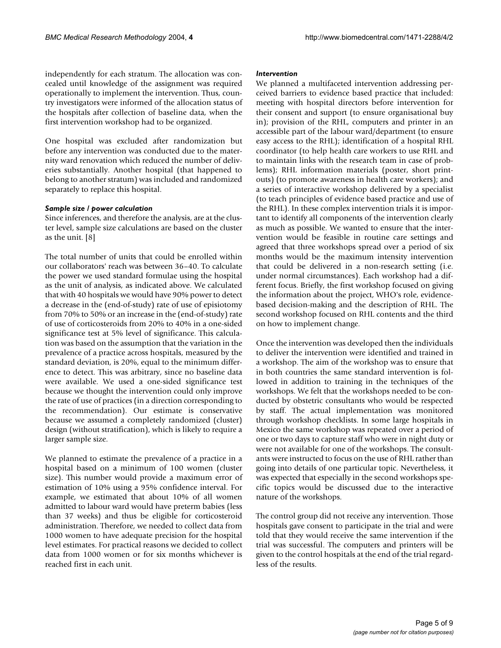independently for each stratum. The allocation was concealed until knowledge of the assignment was required operationally to implement the intervention. Thus, country investigators were informed of the allocation status of the hospitals after collection of baseline data, when the first intervention workshop had to be organized.

One hospital was excluded after randomization but before any intervention was conducted due to the maternity ward renovation which reduced the number of deliveries substantially. Another hospital (that happened to belong to another stratum) was included and randomized separately to replace this hospital.

## *Sample size / power calculation*

Since inferences, and therefore the analysis, are at the cluster level, sample size calculations are based on the cluster as the unit. [8]

The total number of units that could be enrolled within our collaborators' reach was between 36–40. To calculate the power we used standard formulae using the hospital as the unit of analysis, as indicated above. We calculated that with 40 hospitals we would have 90% power to detect a decrease in the (end-of-study) rate of use of episiotomy from 70% to 50% or an increase in the (end-of-study) rate of use of corticosteroids from 20% to 40% in a one-sided significance test at 5% level of significance. This calculation was based on the assumption that the variation in the prevalence of a practice across hospitals, measured by the standard deviation, is 20%, equal to the minimum difference to detect. This was arbitrary, since no baseline data were available. We used a one-sided significance test because we thought the intervention could only improve the rate of use of practices (in a direction corresponding to the recommendation). Our estimate is conservative because we assumed a completely randomized (cluster) design (without stratification), which is likely to require a larger sample size.

We planned to estimate the prevalence of a practice in a hospital based on a minimum of 100 women (cluster size). This number would provide a maximum error of estimation of 10% using a 95% confidence interval. For example, we estimated that about 10% of all women admitted to labour ward would have preterm babies (less than 37 weeks) and thus be eligible for corticosteroid administration. Therefore, we needed to collect data from 1000 women to have adequate precision for the hospital level estimates. For practical reasons we decided to collect data from 1000 women or for six months whichever is reached first in each unit.

#### *Intervention*

We planned a multifaceted intervention addressing perceived barriers to evidence based practice that included: meeting with hospital directors before intervention for their consent and support (to ensure organisational buy in); provision of the RHL, computers and printer in an accessible part of the labour ward/department (to ensure easy access to the RHL); identification of a hospital RHL coordinator (to help health care workers to use RHL and to maintain links with the research team in case of problems); RHL information materials (poster, short printouts) (to promote awareness in health care workers); and a series of interactive workshop delivered by a specialist (to teach principles of evidence based practice and use of the RHL). In these complex intervention trials it is important to identify all components of the intervention clearly as much as possible. We wanted to ensure that the intervention would be feasible in routine care settings and agreed that three workshops spread over a period of six months would be the maximum intensity intervention that could be delivered in a non-research setting (i.e. under normal circumstances). Each workshop had a different focus. Briefly, the first workshop focused on giving the information about the project, WHO's role, evidencebased decision-making and the description of RHL. The second workshop focused on RHL contents and the third on how to implement change.

Once the intervention was developed then the individuals to deliver the intervention were identified and trained in a workshop. The aim of the workshop was to ensure that in both countries the same standard intervention is followed in addition to training in the techniques of the workshops. We felt that the workshops needed to be conducted by obstetric consultants who would be respected by staff. The actual implementation was monitored through workshop checklists. In some large hospitals in Mexico the same workshop was repeated over a period of one or two days to capture staff who were in night duty or were not available for one of the workshops. The consultants were instructed to focus on the use of RHL rather than going into details of one particular topic. Nevertheless, it was expected that especially in the second workshops specific topics would be discussed due to the interactive nature of the workshops.

The control group did not receive any intervention. Those hospitals gave consent to participate in the trial and were told that they would receive the same intervention if the trial was successful. The computers and printers will be given to the control hospitals at the end of the trial regardless of the results.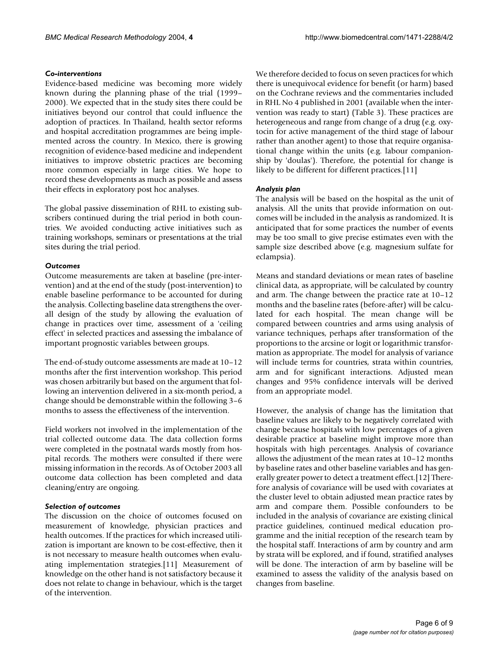### *Co-interventions*

Evidence-based medicine was becoming more widely known during the planning phase of the trial (1999– 2000). We expected that in the study sites there could be initiatives beyond our control that could influence the adoption of practices. In Thailand, health sector reforms and hospital accreditation programmes are being implemented across the country. In Mexico, there is growing recognition of evidence-based medicine and independent initiatives to improve obstetric practices are becoming more common especially in large cities. We hope to record these developments as much as possible and assess their effects in exploratory post hoc analyses.

The global passive dissemination of RHL to existing subscribers continued during the trial period in both countries. We avoided conducting active initiatives such as training workshops, seminars or presentations at the trial sites during the trial period.

#### *Outcomes*

Outcome measurements are taken at baseline (pre-intervention) and at the end of the study (post-intervention) to enable baseline performance to be accounted for during the analysis. Collecting baseline data strengthens the overall design of the study by allowing the evaluation of change in practices over time, assessment of a 'ceiling effect' in selected practices and assessing the imbalance of important prognostic variables between groups.

The end-of-study outcome assessments are made at 10–12 months after the first intervention workshop. This period was chosen arbitrarily but based on the argument that following an intervention delivered in a six-month period, a change should be demonstrable within the following 3–6 months to assess the effectiveness of the intervention.

Field workers not involved in the implementation of the trial collected outcome data. The data collection forms were completed in the postnatal wards mostly from hospital records. The mothers were consulted if there were missing information in the records. As of October 2003 all outcome data collection has been completed and data cleaning/entry are ongoing.

#### *Selection of outcomes*

The discussion on the choice of outcomes focused on measurement of knowledge, physician practices and health outcomes. If the practices for which increased utilization is important are known to be cost-effective, then it is not necessary to measure health outcomes when evaluating implementation strategies.[11] Measurement of knowledge on the other hand is not satisfactory because it does not relate to change in behaviour, which is the target of the intervention.

We therefore decided to focus on seven practices for which there is unequivocal evidence for benefit (or harm) based on the Cochrane reviews and the commentaries included in RHL No 4 published in 2001 (available when the intervention was ready to start) (Table [3\)](#page-6-0). These practices are heterogeneous and range from change of a drug (e.g. oxytocin for active management of the third stage of labour rather than another agent) to those that require organisational change within the units (e.g. labour companionship by 'doulas'). Therefore, the potential for change is likely to be different for different practices.[11]

#### *Analysis plan*

The analysis will be based on the hospital as the unit of analysis. All the units that provide information on outcomes will be included in the analysis as randomized. It is anticipated that for some practices the number of events may be too small to give precise estimates even with the sample size described above (e.g. magnesium sulfate for eclampsia).

Means and standard deviations or mean rates of baseline clinical data, as appropriate, will be calculated by country and arm. The change between the practice rate at 10–12 months and the baseline rates (before-after) will be calculated for each hospital. The mean change will be compared between countries and arms using analysis of variance techniques, perhaps after transformation of the proportions to the arcsine or logit or logarithmic transformation as appropriate. The model for analysis of variance will include terms for countries, strata within countries, arm and for significant interactions. Adjusted mean changes and 95% confidence intervals will be derived from an appropriate model.

However, the analysis of change has the limitation that baseline values are likely to be negatively correlated with change because hospitals with low percentages of a given desirable practice at baseline might improve more than hospitals with high percentages. Analysis of covariance allows the adjustment of the mean rates at 10–12 months by baseline rates and other baseline variables and has generally greater power to detect a treatment effect.<sup>[12]</sup> Therefore analysis of covariance will be used with covariates at the cluster level to obtain adjusted mean practice rates by arm and compare them. Possible confounders to be included in the analysis of covariance are existing clinical practice guidelines, continued medical education programme and the initial reception of the research team by the hospital staff. Interactions of arm by country and arm by strata will be explored, and if found, stratified analyses will be done. The interaction of arm by baseline will be examined to assess the validity of the analysis based on changes from baseline.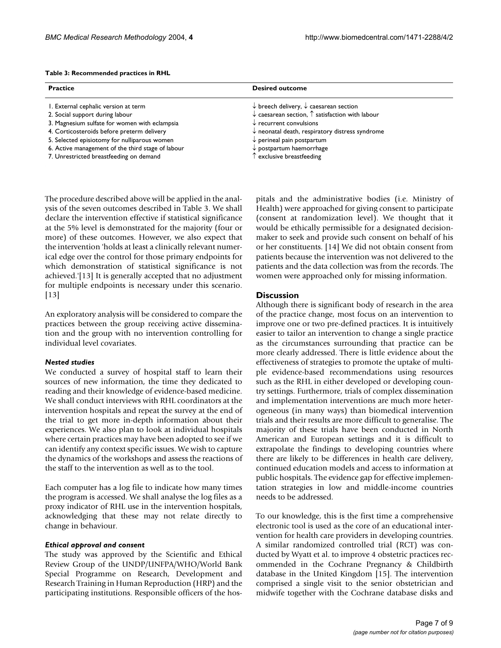<span id="page-6-0"></span>

|  | Table 3: Recommended practices in RHL |  |  |
|--|---------------------------------------|--|--|
|--|---------------------------------------|--|--|

| <b>Practice</b>                                   | <b>Desired outcome</b>                                              |  |
|---------------------------------------------------|---------------------------------------------------------------------|--|
| I. External cephalic version at term              | $\downarrow$ breech delivery, $\downarrow$ caesarean section        |  |
| 2. Social support during labour                   | $\downarrow$ caesarean section, $\uparrow$ satisfaction with labour |  |
| 3. Magnesium sulfate for women with eclampsia     | $\downarrow$ recurrent convulsions                                  |  |
| 4. Corticosteroids before preterm delivery        | $\downarrow$ neonatal death, respiratory distress syndrome          |  |
| 5. Selected episiotomy for nulliparous women      | $\downarrow$ perineal pain postpartum                               |  |
| 6. Active management of the third stage of labour | $\downarrow$ postpartum haemorrhage                                 |  |
| 7. Unrestricted breastfeeding on demand           | $\uparrow$ exclusive breastfeeding                                  |  |

The procedure described above will be applied in the analysis of the seven outcomes described in Table [3.](#page-6-0) We shall declare the intervention effective if statistical significance at the 5% level is demonstrated for the majority (four or more) of these outcomes. However, we also expect that the intervention 'holds at least a clinically relevant numerical edge over the control for those primary endpoints for which demonstration of statistical significance is not achieved.'[13] It is generally accepted that no adjustment for multiple endpoints is necessary under this scenario. [13]

An exploratory analysis will be considered to compare the practices between the group receiving active dissemination and the group with no intervention controlling for individual level covariates.

#### *Nested studies*

We conducted a survey of hospital staff to learn their sources of new information, the time they dedicated to reading and their knowledge of evidence-based medicine. We shall conduct interviews with RHL coordinators at the intervention hospitals and repeat the survey at the end of the trial to get more in-depth information about their experiences. We also plan to look at individual hospitals where certain practices may have been adopted to see if we can identify any context specific issues. We wish to capture the dynamics of the workshops and assess the reactions of the staff to the intervention as well as to the tool.

Each computer has a log file to indicate how many times the program is accessed. We shall analyse the log files as a proxy indicator of RHL use in the intervention hospitals, acknowledging that these may not relate directly to change in behaviour.

#### *Ethical approval and consent*

The study was approved by the Scientific and Ethical Review Group of the UNDP/UNFPA/WHO/World Bank Special Programme on Research, Development and Research Training in Human Reproduction (HRP) and the participating institutions. Responsible officers of the hospitals and the administrative bodies (i.e. Ministry of Health) were approached for giving consent to participate (consent at randomization level). We thought that it would be ethically permissible for a designated decisionmaker to seek and provide such consent on behalf of his or her constituents. [14] We did not obtain consent from patients because the intervention was not delivered to the patients and the data collection was from the records. The women were approached only for missing information.

#### **Discussion**

Although there is significant body of research in the area of the practice change, most focus on an intervention to improve one or two pre-defined practices. It is intuitively easier to tailor an intervention to change a single practice as the circumstances surrounding that practice can be more clearly addressed. There is little evidence about the effectiveness of strategies to promote the uptake of multiple evidence-based recommendations using resources such as the RHL in either developed or developing country settings. Furthermore, trials of complex dissemination and implementation interventions are much more heterogeneous (in many ways) than biomedical intervention trials and their results are more difficult to generalise. The majority of these trials have been conducted in North American and European settings and it is difficult to extrapolate the findings to developing countries where there are likely to be differences in health care delivery, continued education models and access to information at public hospitals. The evidence gap for effective implementation strategies in low and middle-income countries needs to be addressed.

To our knowledge, this is the first time a comprehensive electronic tool is used as the core of an educational intervention for health care providers in developing countries. A similar randomized controlled trial (RCT) was conducted by Wyatt et al. to improve 4 obstetric practices recommended in the Cochrane Pregnancy & Childbirth database in the United Kingdom [15]. The intervention comprised a single visit to the senior obstetrician and midwife together with the Cochrane database disks and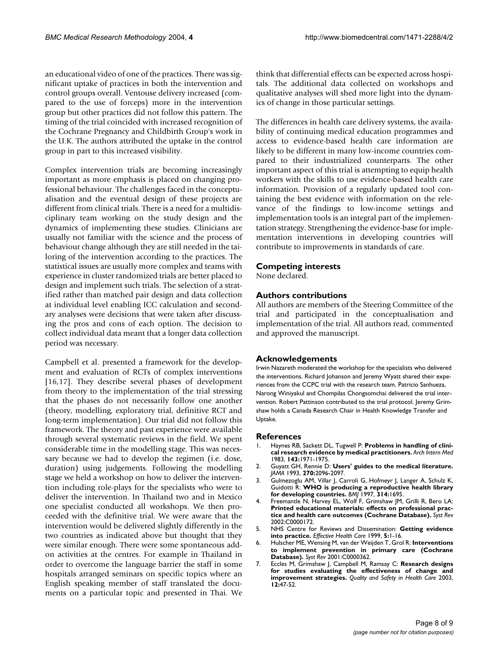an educational video of one of the practices. There was significant uptake of practices in both the intervention and control groups overall. Ventouse delivery increased (compared to the use of forceps) more in the intervention group but other practices did not follow this pattern. The timing of the trial coincided with increased recognition of the Cochrane Pregnancy and Childbirth Group's work in the U.K. The authors attributed the uptake in the control group in part to this increased visibility.

Complex intervention trials are becoming increasingly important as more emphasis is placed on changing professional behaviour. The challenges faced in the conceptualisation and the eventual design of these projects are different from clinical trials. There is a need for a multidisciplinary team working on the study design and the dynamics of implementing these studies. Clinicians are usually not familiar with the science and the process of behaviour change although they are still needed in the tailoring of the intervention according to the practices. The statistical issues are usually more complex and teams with experience in cluster randomized trials are better placed to design and implement such trials. The selection of a stratified rather than matched pair design and data collection at individual level enabling ICC calculation and secondary analyses were decisions that were taken after discussing the pros and cons of each option. The decision to collect individual data meant that a longer data collection period was necessary.

Campbell et al. presented a framework for the development and evaluation of RCTs of complex interventions [16,17]. They describe several phases of development from theory to the implementation of the trial stressing that the phases do not necessarily follow one another (theory, modelling, exploratory trial, definitive RCT and long-term implementation). Our trial did not follow this framework. The theory and past experience were available through several systematic reviews in the field. We spent considerable time in the modelling stage. This was necessary because we had to develop the regimen (i.e. dose, duration) using judgements. Following the modelling stage we held a workshop on how to deliver the intervention including role-plays for the specialists who were to deliver the intervention. In Thailand two and in Mexico one specialist conducted all workshops. We then proceeded with the definitive trial. We were aware that the intervention would be delivered slightly differently in the two countries as indicated above but thought that they were similar enough. There were some spontaneous addon activities at the centres. For example in Thailand in order to overcome the language barrier the staff in some hospitals arranged seminars on specific topics where an English speaking member of staff translated the documents on a particular topic and presented in Thai. We think that differential effects can be expected across hospitals. The additional data collected on workshops and qualitative analyses will shed more light into the dynamics of change in those particular settings.

The differences in health care delivery systems, the availability of continuing medical education programmes and access to evidence-based health care information are likely to be different in many low-income countries compared to their industrialized counterparts. The other important aspect of this trial is attempting to equip health workers with the skills to use evidence-based health care information. Provision of a regularly updated tool containing the best evidence with information on the relevance of the findings to low-income settings and implementation tools is an integral part of the implementation strategy. Strengthening the evidence-base for implementation interventions in developing countries will contribute to improvements in standards of care.

#### **Competing interests**

None declared.

# **Authors contributions**

All authors are members of the Steering Committee of the trial and participated in the conceptualisation and implementation of the trial. All authors read, commented and approved the manuscript.

#### **Acknowledgements**

Irwin Nazareth moderated the workshop for the specialists who delivered the interventions. Richard Johanson and Jeremy Wyatt shared their experiences from the CCPC trial with the research team. Patricio Sanhueza, Narong Winiyakul and Chompilas Chongsomchai delivered the trial intervention. Robert Pattinson contributed to the trial protocol. Jeremy Grimshaw holds a Canada Research Chair in Health Knowledge Transfer and Uptake.

#### **References**

- 1. Haynes RB, Sackett DL, Tugwell P: **[Problems in handling of clini](http://www.ncbi.nlm.nih.gov/entrez/query.fcgi?cmd=Retrieve&db=PubMed&dopt=Abstract&list_uids=10.1001/archinte.143.10.1971)[cal research evidence by medical practitioners](http://www.ncbi.nlm.nih.gov/entrez/query.fcgi?cmd=Retrieve&db=PubMed&dopt=Abstract&list_uids=10.1001/archinte.143.10.1971)[.](http://www.ncbi.nlm.nih.gov/entrez/query.fcgi?cmd=Retrieve&db=PubMed&dopt=Abstract&list_uids=6625783)** *Arch Intern Med* 1983, **143:**1971-1975.
- 2. Guyatt GH, Rennie D: **[Users' guides to the medical literature](http://www.ncbi.nlm.nih.gov/entrez/query.fcgi?cmd=Retrieve&db=PubMed&dopt=Abstract&list_uids=10.1001/jama.270.17.2096)[.](http://www.ncbi.nlm.nih.gov/entrez/query.fcgi?cmd=Retrieve&db=PubMed&dopt=Abstract&list_uids=8411578)** *JAMA* 1993, **270:**2096-2097.
- 3. Gulmezoglu AM, Villar J, Carroli G, Hofmeyr J, Langer A, Schulz K, Guidotti R: **[WHO is producing a reproductive health library](http://www.ncbi.nlm.nih.gov/entrez/query.fcgi?cmd=Retrieve&db=PubMed&dopt=Abstract&list_uids=9193317) [for developing countries.](http://www.ncbi.nlm.nih.gov/entrez/query.fcgi?cmd=Retrieve&db=PubMed&dopt=Abstract&list_uids=9193317)** *BMJ* 1997, **314:**1695.
- 4. Freemantle N, Harvey EL, Wolf F, Grimshaw JM, Grilli R, Bero LA: **Printed educational materials: effects on professional practice and health care outcomes (Cochrane Database).** *Syst Rev* 2002:C0000172.
- 5. NHS Centre for Reviews and Dissemination: **Getting evidence into practice.** *Effective Health Care* 1999, **5:**1-16.
- 6. Hulscher ME, Wensing M, van der Weijden T, Grol R: **Interventions to implement prevention in primary care (Cochrane Database).** *Syst Rev* 2001:C0000362.
- 7. Eccles M, Grimshaw J, Campbell M, Ramsay C: **[Research designs](http://www.ncbi.nlm.nih.gov/entrez/query.fcgi?cmd=Retrieve&db=PubMed&dopt=Abstract&list_uids=10.1136/qhc.12.1.47) [for studies evaluating the effectiveness of change and](http://www.ncbi.nlm.nih.gov/entrez/query.fcgi?cmd=Retrieve&db=PubMed&dopt=Abstract&list_uids=10.1136/qhc.12.1.47) [improvement strategies](http://www.ncbi.nlm.nih.gov/entrez/query.fcgi?cmd=Retrieve&db=PubMed&dopt=Abstract&list_uids=10.1136/qhc.12.1.47)[.](http://www.ncbi.nlm.nih.gov/entrez/query.fcgi?cmd=Retrieve&db=PubMed&dopt=Abstract&list_uids=12571345)** *Quality and Safety in Health Care* 2003, **12:**47-52.